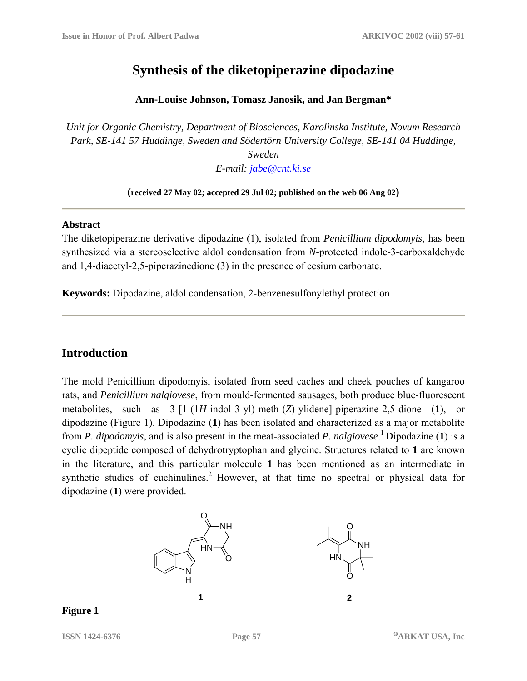# **Synthesis of the diketopiperazine dipodazine**

#### **Ann-Louise Johnson, Tomasz Janosik, and Jan Bergman\***

*Unit for Organic Chemistry, Department of Biosciences, Karolinska Institute, Novum Research Park, SE-141 57 Huddinge, Sweden and Södertörn University College, SE-141 04 Huddinge,* 

> *Sweden E-mail: jabe@cnt.ki.se*

#### **(received 27 May 02; accepted 29 Jul 02; published on the web 06 Aug 02)**

#### **Abstract**

The diketopiperazine derivative dipodazine (1), isolated from *Penicillium dipodomyis*, has been synthesized via a stereoselective aldol condensation from *N*-protected indole-3-carboxaldehyde and 1,4-diacetyl-2,5-piperazinedione (3) in the presence of cesium carbonate.

**Keywords:** Dipodazine, aldol condensation, 2-benzenesulfonylethyl protection

## **Introduction**

The mold Penicillium dipodomyis, isolated from seed caches and cheek pouches of kangaroo rats, and *Penicillium nalgiovese*, from mould-fermented sausages, both produce blue-fluorescent metabolites, such as 3-[1-(1*H*-indol-3-yl)-meth-(*Z*)-ylidene]-piperazine-2,5-dione (**1**), or dipodazine (Figure 1). Dipodazine (**1**) has been isolated and characterized as a major metabolite from *P. dipodomyis*, and is also present in the meat-associated *P. nalgiovese*. 1 Dipodazine (**1**) is a cyclic dipeptide composed of dehydrotryptophan and glycine. Structures related to **1** are known in the literature, and this particular molecule **1** has been mentioned as an intermediate in synthetic studies of euchinulines.<sup>2</sup> However, at that time no spectral or physical data for dipodazine (**1**) were provided.



#### **Figure 1**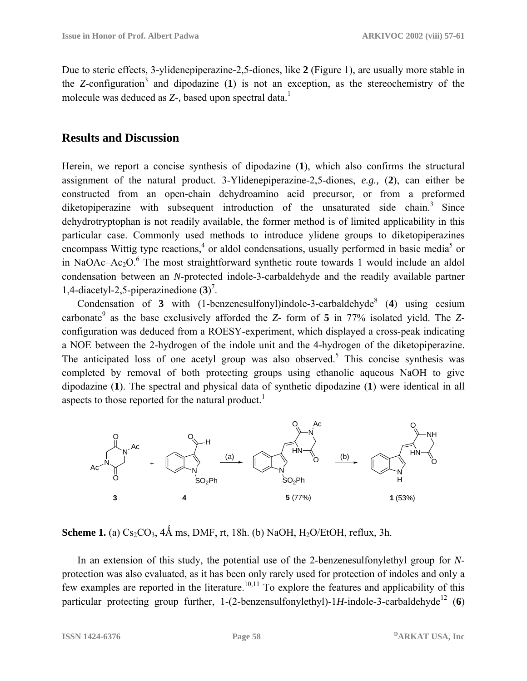Due to steric effects, 3-ylidenepiperazine-2,5-diones, like **2** (Figure 1), are usually more stable in the *Z*-configuration<sup>3</sup> and dipodazine  $(1)$  is not an exception, as the stereochemistry of the molecule was deduced as *Z*-, based upon spectral data.<sup>1</sup>

## **Results and Discussion**

Herein, we report a concise synthesis of dipodazine (**1**), which also confirms the structural assignment of the natural product. 3-Ylidenepiperazine-2,5-diones, *e.g.,* (**2**), can either be constructed from an open-chain dehydroamino acid precursor, or from a preformed diketopiperazine with subsequent introduction of the unsaturated side chain.<sup>3</sup> Since dehydrotryptophan is not readily available, the former method is of limited applicability in this particular case. Commonly used methods to introduce ylidene groups to diketopiperazines encompass Wittig type reactions,<sup>4</sup> or aldol condensations, usually performed in basic media<sup>5</sup> or in NaOAc–Ac<sub>2</sub>O.<sup>6</sup> The most straightforward synthetic route towards 1 would include an aldol condensation between an *N*-protected indole-3-carbaldehyde and the readily available partner 1,4-diacetyl-2,5-piperazinedione (**3**) 7 .

Condensation of **3** with  $(1$ -benzenesulfonyl)indole-3-carbaldehyde<sup>8</sup> (4) using cesium carbonate<sup>9</sup> as the base exclusively afforded the *Z*- form of **5** in 77% isolated yield. The *Z*configuration was deduced from a ROESY-experiment, which displayed a cross-peak indicating a NOE between the 2-hydrogen of the indole unit and the 4-hydrogen of the diketopiperazine. The anticipated loss of one acetyl group was also observed.<sup>5</sup> This concise synthesis was completed by removal of both protecting groups using ethanolic aqueous NaOH to give dipodazine (**1**). The spectral and physical data of synthetic dipodazine (**1**) were identical in all aspects to those reported for the natural product.<sup>1</sup>



**Scheme 1.** (a)  $Cs_2CO_3$ ,  $4\text{\AA}$  ms, DMF, rt, 18h. (b) NaOH, H<sub>2</sub>O/EtOH, reflux, 3h.

In an extension of this study, the potential use of the 2-benzenesulfonylethyl group for *N*protection was also evaluated, as it has been only rarely used for protection of indoles and only a few examples are reported in the literature.<sup>10,11</sup> To explore the features and applicability of this particular protecting group further,  $1-(2$ -benzensulfonylethyl)-1*H*-indole-3-carbaldehyde<sup>12</sup> (6)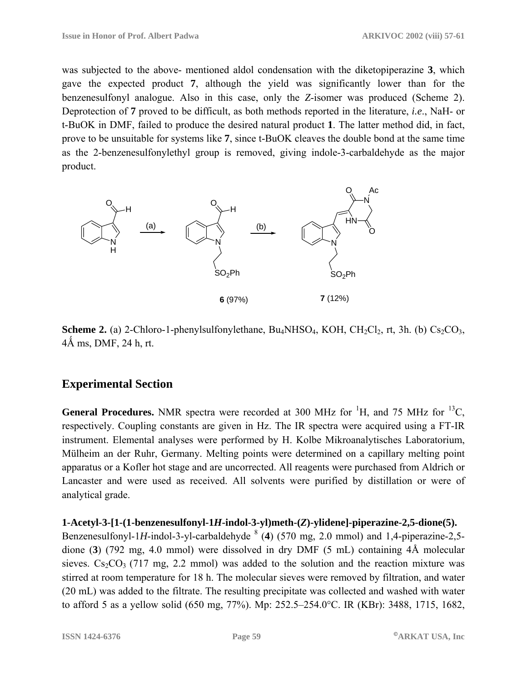was subjected to the above- mentioned aldol condensation with the diketopiperazine **3**, which gave the expected product **7**, although the yield was significantly lower than for the benzenesulfonyl analogue. Also in this case, only the *Z*-isomer was produced (Scheme 2). Deprotection of **7** proved to be difficult, as both methods reported in the literature, *i.e*., NaH- or t-BuOK in DMF, failed to produce the desired natural product **1**. The latter method did, in fact, prove to be unsuitable for systems like **7**, since t-BuOK cleaves the double bond at the same time as the 2-benzenesulfonylethyl group is removed, giving indole-3-carbaldehyde as the major product.



**Scheme 2.** (a) 2-Chloro-1-phenylsulfonylethane, Bu<sub>4</sub>NHSO<sub>4</sub>, KOH, CH<sub>2</sub>Cl<sub>2</sub>, rt, 3h. (b) Cs<sub>2</sub>CO<sub>3</sub>,  $4\text{\AA}$  ms, DMF, 24 h, rt.

## **Experimental Section**

**General Procedures.** NMR spectra were recorded at 300 MHz for  ${}^{1}H$ , and 75 MHz for  ${}^{13}C$ , respectively. Coupling constants are given in Hz. The IR spectra were acquired using a FT-IR instrument. Elemental analyses were performed by H. Kolbe Mikroanalytisches Laboratorium, Mülheim an der Ruhr, Germany. Melting points were determined on a capillary melting point apparatus or a Kofler hot stage and are uncorrected. All reagents were purchased from Aldrich or Lancaster and were used as received. All solvents were purified by distillation or were of analytical grade.

### **1-Acetyl-3-[1-(1-benzenesulfonyl-1***H***-indol-3-yl)meth-(***Z***)-ylidene]-piperazine-2,5-dione(5).**

Benzenesulfonyl-1H-indol-3-yl-carbaldehyde  $\frac{8}{4}$  (4) (570 mg, 2.0 mmol) and 1,4-piperazine-2,5dione (**3**) (792 mg, 4.0 mmol) were dissolved in dry DMF (5 mL) containing 4Å molecular sieves.  $Cs_2CO_3$  (717 mg, 2.2 mmol) was added to the solution and the reaction mixture was stirred at room temperature for 18 h. The molecular sieves were removed by filtration, and water (20 mL) was added to the filtrate. The resulting precipitate was collected and washed with water to afford 5 as a yellow solid (650 mg, 77%). Mp: 252.5–254.0°C. IR (KBr): 3488, 1715, 1682,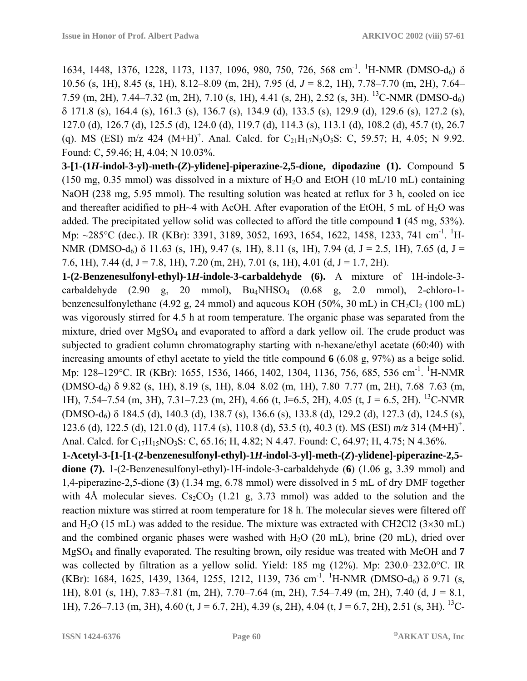1634, 1448, 1376, 1228, 1173, 1137, 1096, 980, 750, 726, 568 cm<sup>-1</sup>. <sup>1</sup>H-NMR (DMSO-d<sub>6</sub>) δ 10.56 (s, 1H), 8.45 (s, 1H), 8.12–8.09 (m, 2H), 7.95 (d, *J* = 8.2, 1H), 7.78–7.70 (m, 2H), 7.64– 7.59 (m, 2H), 7.44–7.32 (m, 2H), 7.10 (s, 1H), 4.41 (s, 2H), 2.52 (s, 3H). 13C-NMR (DMSO-d6) δ 171.8 (s), 164.4 (s), 161.3 (s), 136.7 (s), 134.9 (d), 133.5 (s), 129.9 (d), 129.6 (s), 127.2 (s), 127.0 (d), 126.7 (d), 125.5 (d), 124.0 (d), 119.7 (d), 114.3 (s), 113.1 (d), 108.2 (d), 45.7 (t), 26.7 (q). MS (ESI) m/z 424 (M+H)<sup>+</sup>. Anal. Calcd. for C<sub>21</sub>H<sub>17</sub>N<sub>3</sub>O<sub>5</sub>S: C, 59.57; H, 4.05; N 9.92. Found: C, 59.46; H, 4.04; N 10.03%.

**3-[1-(1***H***-indol-3-yl)-meth-(***Z***)-ylidene]-piperazine-2,5-dione, dipodazine (1).** Compound **5** (150 mg, 0.35 mmol) was dissolved in a mixture of  $H<sub>2</sub>O$  and EtOH (10 mL/10 mL) containing NaOH (238 mg, 5.95 mmol). The resulting solution was heated at reflux for 3 h, cooled on ice and thereafter acidified to pH $\sim$ 4 with AcOH. After evaporation of the EtOH, 5 mL of H<sub>2</sub>O was added. The precipitated yellow solid was collected to afford the title compound **1** (45 mg, 53%). Mp: ~285°C (dec.). IR (KBr): 3391, 3189, 3052, 1693, 1654, 1622, 1458, 1233, 741 cm<sup>-1</sup>. <sup>1</sup>H-NMR (DMSO-d<sub>6</sub>) δ 11.63 (s, 1H), 9.47 (s, 1H), 8.11 (s, 1H), 7.94 (d, J = 2.5, 1H), 7.65 (d, J = 7.6, 1H), 7.44 (d, J = 7.8, 1H), 7.20 (m, 2H), 7.01 (s, 1H), 4.01 (d, J = 1.7, 2H).

**1-(2-Benzenesulfonyl-ethyl)-1***H***-indole-3-carbaldehyde (6).** A mixture of 1H-indole-3 carbaldehyde  $(2.90 \text{ g}, 20 \text{ mmol})$ ,  $Bu_4NHSO_4$   $(0.68 \text{ g}, 2.0 \text{ mmol})$ , 2-chloro-1benzenesulfonylethane (4.92 g, 24 mmol) and aqueous KOH (50%, 30 mL) in CH<sub>2</sub>Cl<sub>2</sub> (100 mL) was vigorously stirred for 4.5 h at room temperature. The organic phase was separated from the mixture, dried over MgSO<sub>4</sub> and evaporated to afford a dark yellow oil. The crude product was subjected to gradient column chromatography starting with n-hexane/ethyl acetate (60:40) with increasing amounts of ethyl acetate to yield the title compound **6** (6.08 g, 97%) as a beige solid. Mp: 128–129°C. IR (KBr): 1655, 1536, 1466, 1402, 1304, 1136, 756, 685, 536 cm<sup>-1</sup>. <sup>1</sup>H-NMR (DMSO-d6) δ 9.82 (s, 1H), 8.19 (s, 1H), 8.04–8.02 (m, 1H), 7.80–7.77 (m, 2H), 7.68–7.63 (m, 1H), 7.54–7.54 (m, 3H), 7.31–7.23 (m, 2H), 4.66 (t, J=6.5, 2H), 4.05 (t, J = 6.5, 2H). <sup>13</sup>C-NMR  $(DMSO-d<sub>6</sub>)$  δ 184.5 (d), 140.3 (d), 138.7 (s), 136.6 (s), 133.8 (d), 129.2 (d), 127.3 (d), 124.5 (s), 123.6 (d), 122.5 (d), 121.0 (d), 117.4 (s), 110.8 (d), 53.5 (t), 40.3 (t). MS (ESI)  $m/z$  314 (M+H)<sup>+</sup>. Anal. Calcd. for C<sub>17</sub>H<sub>15</sub>NO<sub>3</sub>S: C, 65.16; H, 4.82; N 4.47. Found: C, 64.97; H, 4.75; N 4.36%.

**1-Acetyl-3-[1-[1-(2-benzenesulfonyl-ethyl)-1***H***-indol-3-yl]-meth-(***Z***)-ylidene]-piperazine-2,5 dione (7).** 1-(2-Benzenesulfonyl-ethyl)-1H-indole-3-carbaldehyde (**6**) (1.06 g, 3.39 mmol) and 1,4-piperazine-2,5-dione (**3**) (1.34 mg, 6.78 mmol) were dissolved in 5 mL of dry DMF together with  $4\text{\AA}$  molecular sieves.  $Cs_2CO_3$  (1.21 g, 3.73 mmol) was added to the solution and the reaction mixture was stirred at room temperature for 18 h. The molecular sieves were filtered off and  $H_2O$  (15 mL) was added to the residue. The mixture was extracted with CH2Cl2 ( $3\times30$  mL) and the combined organic phases were washed with  $H_2O$  (20 mL), brine (20 mL), dried over MgSO4 and finally evaporated. The resulting brown, oily residue was treated with MeOH and **7** was collected by filtration as a yellow solid. Yield: 185 mg (12%). Mp: 230.0–232.0°C. IR (KBr): 1684, 1625, 1439, 1364, 1255, 1212, 1139, 736 cm<sup>-1</sup>. <sup>1</sup>H-NMR (DMSO-d<sub>6</sub>)  $\delta$  9.71 (s, 1H), 8.01 (s, 1H), 7.83–7.81 (m, 2H), 7.70–7.64 (m, 2H), 7.54–7.49 (m, 2H), 7.40 (d, J = 8.1, 1H), 7.26–7.13 (m, 3H), 4.60 (t, J = 6.7, 2H), 4.39 (s, 2H), 4.04 (t, J = 6.7, 2H), 2.51 (s, 3H). <sup>13</sup>C-